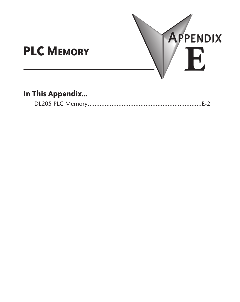

# **In This Appendix...**

|--|--|--|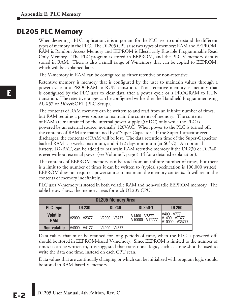## **DL205 PLC Memory**

When designing a PLC application, it is important for the PLC user to understand the different types of memory in the PLC. The DL205 CPUs use two types of memory: RAM and EEPROM. RAM is Random Access Memory and EEPROM is Electrically Erasable Programmable Read Only Memory. The PLC program is stored in EEPROM, and the PLC V-memory data is stored in RAM. There is also a small range of V-memory that can be copied to EEPROM, which will be explained later.

The V-memory in RAM can be configured as either retentive or non-retentive.

Retentive memory is memory that is configured by the user to maintain values through a power cycle or a PROGRAM to RUN transition. Non-retentive memory is memory that is configured by the PLC user to clear data after a power cycle or a PROGRAM to RUN transition. The retentive ranges can be configured with either the Handheld Programmer using AUX57 or *Direct*SOFT (PLC Setup).

The contents of RAM memory can be written to and read from an infinite number of times, but RAM requires a power source to maintain the contents of memory. The contents of RAM are maintained by the internal power supply (5VDC) only while the PLC is powered by an external source, normally 120VAC. When power to the PLC is turned off, the contents of RAM are maintained by a"Super-Capacitor." If the Super-Capacitor ever discharges, the contents of RAM will be lost. The data retention time of the Super-Capacitor backed RAM is 3 weeks maximum, and 4 1/2 days minimum (at  $60^{\circ}$  C). An optional battery, D2-BAT, can be added to maintain RAM retentive memory if the DL230 or DL240 is ever without external power (see Volume I, page 3-14 for a detailed explanation).

The contents of EEPROM memory can be read from an infinite number of times, but there is a limit to the number of times it can be written to (typical specification is 100,000 writes). EEPROM does not require a power source to maintain the memory contents. It will retain the contents of memory indefinitely.

PLC user V-memory is stored in both volatile RAM and non-volatile EEPROM memory. The table below shows the memory areas for each DL205 CPU.

| <b>DL205 Memory Area</b>      |               |                |                                  |                                                                          |  |  |
|-------------------------------|---------------|----------------|----------------------------------|--------------------------------------------------------------------------|--|--|
| <b>PLC Type</b>               | <b>DL230</b>  | <b>DL240</b>   | <b>DL250-1</b>                   | <b>DL260</b>                                                             |  |  |
| <b>Volatile</b><br><b>RAM</b> | V2000 - V2377 | V2000 - V3777  | V1400 - V7377<br>V10000 - V17777 | IV400 - V777<br>V <sub>1400</sub> - V <sub>7377</sub><br>V10000 - V35777 |  |  |
| Non-volatile                  | V4000 - V4177 | IV4000 - V4377 | ٠                                | ۰.                                                                       |  |  |

Data values that must be retained for long periods of time, when the PLC is powered off, should be stored in EEPROM-based V-memory. Since EEPROM is limited to the number of times it can be written to, it is suggested that transitional logic, such as a one-shot, be used to write the data one time, instead on each CPU scan.

Data values that are continually changing or which can be initialized with program logic should be stored in RAM-based V-memory.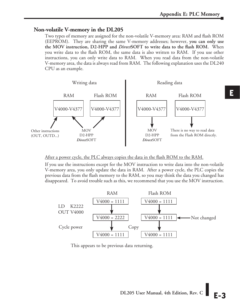## **Non-volatile V-memory in the DL205**

Two types of memory are assigned for the non-volatile V-memory area: RAM and flash ROM (EEPROM). They are sharing the same V-memory addresses; however, **you can only use the MOV instruction, D2-HPP and** *Direct***SOFT to write data to the flash ROM.** When you write data to the flash ROM, the same data is also written to RAM. If you use other instructions, you can only write data to RAM. When you read data from the non-volatile V-memory area, the data is always read from RAM. The following explanation uses the DL240 CPU as an example.



### After a power cycle, the PLC always copies the data in the flash ROM to the RAM.

If you use the instructions except for the MOV instruction to write data into the non-volatile V-memory area, you only update the data in RAM. After a power cycle, the PLC copies the previous data from the flash memory to the RAM, so you may think the data you changed has disappeared. To avoid trouble such as this, we recommend that you use the MOV instruction.



This appears to be previous data returning.